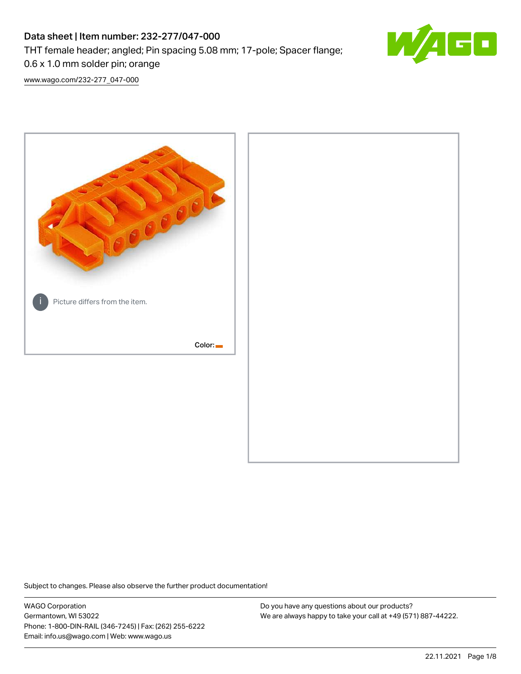# Data sheet | Item number: 232-277/047-000 THT female header; angled; Pin spacing 5.08 mm; 17-pole; Spacer flange; 0.6 x 1.0 mm solder pin; orange



[www.wago.com/232-277\\_047-000](http://www.wago.com/232-277_047-000)



Subject to changes. Please also observe the further product documentation!

WAGO Corporation Germantown, WI 53022 Phone: 1-800-DIN-RAIL (346-7245) | Fax: (262) 255-6222 Email: info.us@wago.com | Web: www.wago.us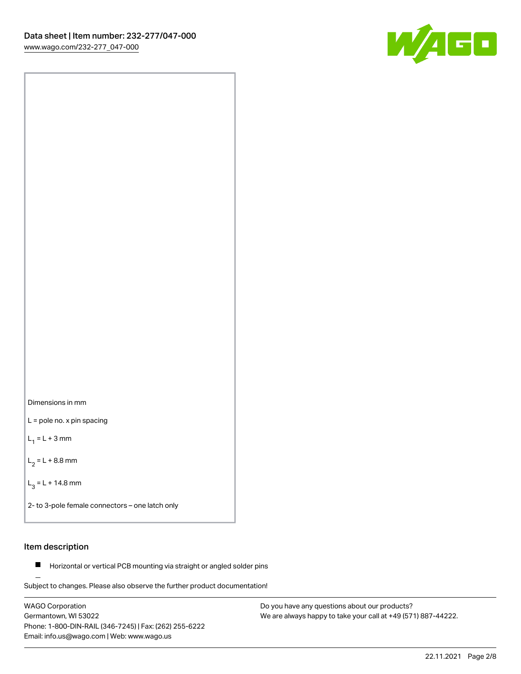[www.wago.com/232-277\\_047-000](http://www.wago.com/232-277_047-000)



Dimensions in mm L = pole no. x pin spacing

 $L_1 = L + 3$  mm

 $L_2 = L + 8.8$  mm

 $L_3 = L + 14.8$  mm

2- to 3-pole female connectors – one latch only

### Item description

**Horizontal or vertical PCB mounting via straight or angled solder pins** 

Subject to changes. Please also observe the further product documentation! For board-to-board and board-to-wire connections

WAGO Corporation Germantown, WI 53022 Phone: 1-800-DIN-RAIL (346-7245) | Fax: (262) 255-6222 Email: info.us@wago.com | Web: www.wago.us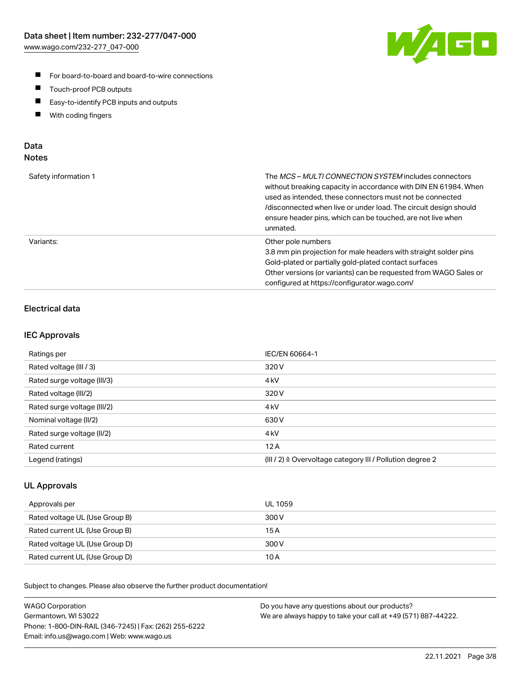

- For board-to-board and board-to-wire connections
- $\blacksquare$ Touch-proof PCB outputs
- $\blacksquare$ Easy-to-identify PCB inputs and outputs
- $\blacksquare$ With coding fingers

#### Data **Notes**

| Safety information 1 | The <i>MCS – MULTI CONNECTION SYSTEM</i> includes connectors<br>without breaking capacity in accordance with DIN EN 61984. When<br>used as intended, these connectors must not be connected<br>/disconnected when live or under load. The circuit design should<br>ensure header pins, which can be touched, are not live when<br>unmated. |
|----------------------|--------------------------------------------------------------------------------------------------------------------------------------------------------------------------------------------------------------------------------------------------------------------------------------------------------------------------------------------|
| Variants:            | Other pole numbers<br>3.8 mm pin projection for male headers with straight solder pins<br>Gold-plated or partially gold-plated contact surfaces<br>Other versions (or variants) can be requested from WAGO Sales or<br>configured at https://configurator.wago.com/                                                                        |

# Electrical data

#### IEC Approvals

| Ratings per                 | IEC/EN 60664-1                                                        |
|-----------------------------|-----------------------------------------------------------------------|
| Rated voltage (III / 3)     | 320 V                                                                 |
| Rated surge voltage (III/3) | 4 <sub>k</sub> V                                                      |
| Rated voltage (III/2)       | 320 V                                                                 |
| Rated surge voltage (III/2) | 4 <sub>k</sub> V                                                      |
| Nominal voltage (II/2)      | 630 V                                                                 |
| Rated surge voltage (II/2)  | 4 <sub>kV</sub>                                                       |
| Rated current               | 12A                                                                   |
| Legend (ratings)            | $(III / 2)$ $\triangle$ Overvoltage category III / Pollution degree 2 |

#### UL Approvals

| Approvals per                  | UL 1059 |
|--------------------------------|---------|
| Rated voltage UL (Use Group B) | 300 V   |
| Rated current UL (Use Group B) | 15 A    |
| Rated voltage UL (Use Group D) | 300 V   |
| Rated current UL (Use Group D) | 10 A    |

Subject to changes. Please also observe the further product documentation!

| <b>WAGO Corporation</b>                                | Do you have any questions about our products?                 |
|--------------------------------------------------------|---------------------------------------------------------------|
| Germantown, WI 53022                                   | We are always happy to take your call at +49 (571) 887-44222. |
| Phone: 1-800-DIN-RAIL (346-7245)   Fax: (262) 255-6222 |                                                               |
| Email: info.us@wago.com   Web: www.wago.us             |                                                               |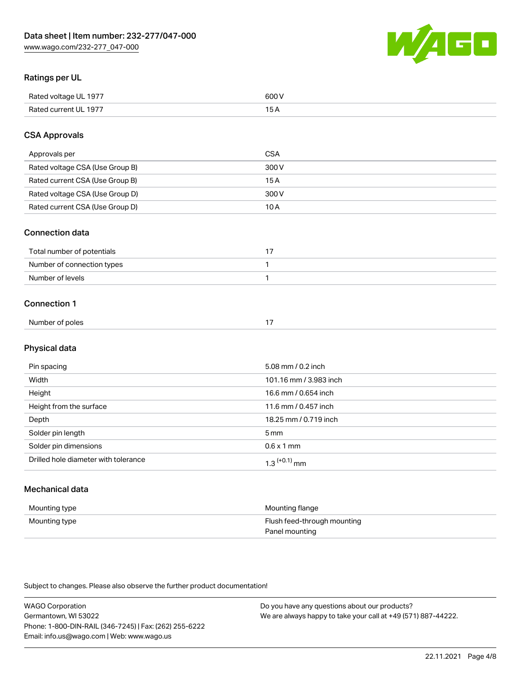WAGO

### Ratings per UL

| Rated voltage UL 1977 | soo v<br>วบบ<br>. |
|-----------------------|-------------------|
| Rated current UL 1977 | --                |
|                       | . J <i>r</i>      |

### CSA Approvals

| Approvals per                   | CSA   |
|---------------------------------|-------|
| Rated voltage CSA (Use Group B) | 300 V |
| Rated current CSA (Use Group B) | 15 A  |
| Rated voltage CSA (Use Group D) | 300 V |
| Rated current CSA (Use Group D) | 10 A  |

#### Connection data

| Total number of potentials |  |
|----------------------------|--|
| Number of connection types |  |
| Number of levels           |  |

#### Connection 1

| Number of poles | - - |
|-----------------|-----|
|                 |     |

# Physical data

| Pin spacing                          | 5.08 mm / 0.2 inch         |
|--------------------------------------|----------------------------|
| Width                                | 101.16 mm / 3.983 inch     |
| Height                               | 16.6 mm / 0.654 inch       |
| Height from the surface              | 11.6 mm / 0.457 inch       |
| Depth                                | 18.25 mm / 0.719 inch      |
| Solder pin length                    | $5 \,\mathrm{mm}$          |
| Solder pin dimensions                | $0.6 \times 1$ mm          |
| Drilled hole diameter with tolerance | $1.3$ <sup>(+0.1)</sup> mm |

# Mechanical data

| Mounting type | Mounting flange             |
|---------------|-----------------------------|
| Mounting type | Flush feed-through mounting |
|               | Panel mounting              |

Subject to changes. Please also observe the further product documentation!

| <b>WAGO Corporation</b>                                | Do you have any questions about our products?                 |
|--------------------------------------------------------|---------------------------------------------------------------|
| Germantown, WI 53022                                   | We are always happy to take your call at +49 (571) 887-44222. |
| Phone: 1-800-DIN-RAIL (346-7245)   Fax: (262) 255-6222 |                                                               |
| Email: info.us@wago.com   Web: www.wago.us             |                                                               |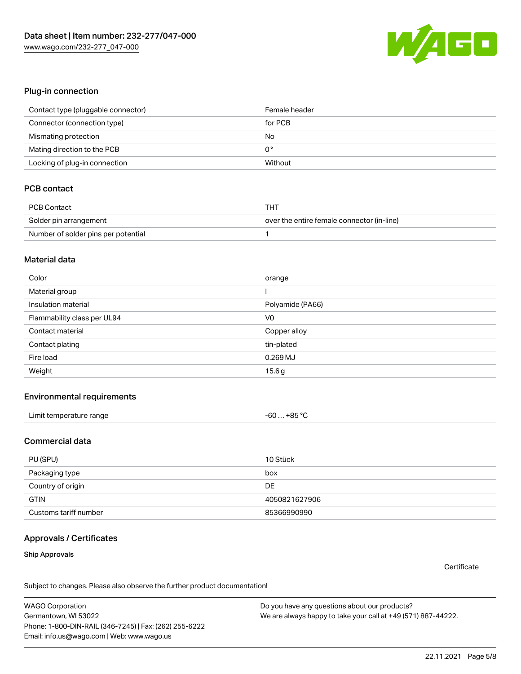

#### Plug-in connection

| Contact type (pluggable connector) | Female header |
|------------------------------------|---------------|
| Connector (connection type)        | for PCB       |
| Mismating protection               | No            |
| Mating direction to the PCB        | 0°            |
| Locking of plug-in connection      | Without       |

## PCB contact

| PCB Contact                         | THT                                        |
|-------------------------------------|--------------------------------------------|
| Solder pin arrangement              | over the entire female connector (in-line) |
| Number of solder pins per potential |                                            |

#### Material data

| Color                       | orange           |
|-----------------------------|------------------|
| Material group              |                  |
| Insulation material         | Polyamide (PA66) |
| Flammability class per UL94 | V <sub>0</sub>   |
| Contact material            |                  |
|                             | Copper alloy     |
| Contact plating             | tin-plated       |
| Fire load                   | $0.269$ MJ       |

#### Environmental requirements

#### Commercial data

| PU (SPU)              | 10 Stück      |
|-----------------------|---------------|
| Packaging type        | box           |
| Country of origin     | DE            |
| <b>GTIN</b>           | 4050821627906 |
| Customs tariff number | 85366990990   |

### Approvals / Certificates

#### Ship Approvals

**Certificate** 

Subject to changes. Please also observe the further product documentation!

WAGO Corporation Germantown, WI 53022 Phone: 1-800-DIN-RAIL (346-7245) | Fax: (262) 255-6222 Email: info.us@wago.com | Web: www.wago.us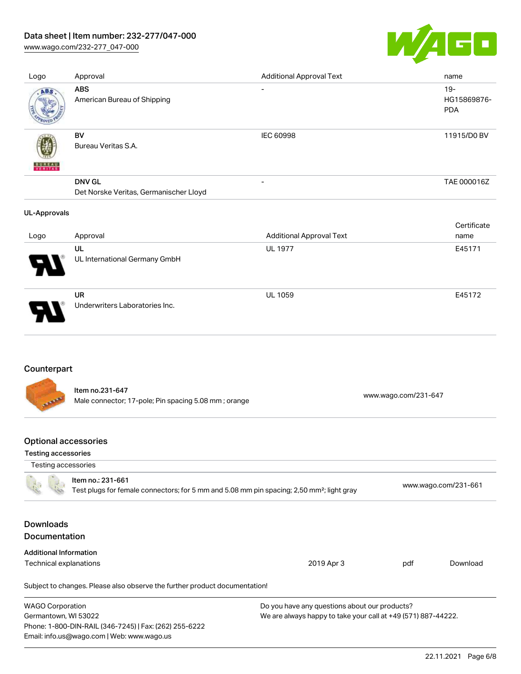### Data sheet | Item number: 232-277/047-000

[www.wago.com/232-277\\_047-000](http://www.wago.com/232-277_047-000)



| Logo                | Approval                                                | <b>Additional Approval Text</b> | name                                |
|---------------------|---------------------------------------------------------|---------------------------------|-------------------------------------|
| ABS                 | <b>ABS</b><br>American Bureau of Shipping               | $\overline{\phantom{a}}$        | $19 -$<br>HG15869876-<br><b>PDA</b> |
| VERITAS             | BV<br>Bureau Veritas S.A.                               | IEC 60998                       | 11915/D0 BV                         |
|                     | <b>DNV GL</b><br>Det Norske Veritas, Germanischer Lloyd | $\overline{\phantom{a}}$        | TAE 000016Z                         |
|                     |                                                         |                                 |                                     |
| <b>UL-Approvals</b> |                                                         |                                 |                                     |
| Logo                | Approval                                                | <b>Additional Approval Text</b> | Certificate<br>name                 |
|                     | UL<br>UL International Germany GmbH                     | <b>UL 1977</b>                  | E45171                              |

### Counterpart

Item no.231-647 Male connector; 17-pole; Pin spacing 5.08 mm ; orange [www.wago.com/231-647](https://www.wago.com/231-647)

### Optional accessories

Email: info.us@wago.com | Web: www.wago.us

#### Testing accessories

| Testing accessories                      |                                                                                                                            |                                                               |     |                      |
|------------------------------------------|----------------------------------------------------------------------------------------------------------------------------|---------------------------------------------------------------|-----|----------------------|
|                                          | Item no.: 231-661<br>Test plugs for female connectors; for 5 mm and 5.08 mm pin spacing; 2,50 mm <sup>2</sup> ; light gray |                                                               |     | www.wago.com/231-661 |
| <b>Downloads</b><br><b>Documentation</b> |                                                                                                                            |                                                               |     |                      |
| <b>Additional Information</b>            |                                                                                                                            |                                                               |     |                      |
| Technical explanations                   |                                                                                                                            | 2019 Apr 3                                                    | pdf | Download             |
|                                          | Subject to changes. Please also observe the further product documentation!                                                 |                                                               |     |                      |
| <b>WAGO Corporation</b>                  |                                                                                                                            | Do you have any questions about our products?                 |     |                      |
| Germantown, WI 53022                     |                                                                                                                            | We are always happy to take your call at +49 (571) 887-44222. |     |                      |
|                                          | Phone: 1-800-DIN-RAIL (346-7245)   Fax: (262) 255-6222                                                                     |                                                               |     |                      |
|                                          |                                                                                                                            |                                                               |     |                      |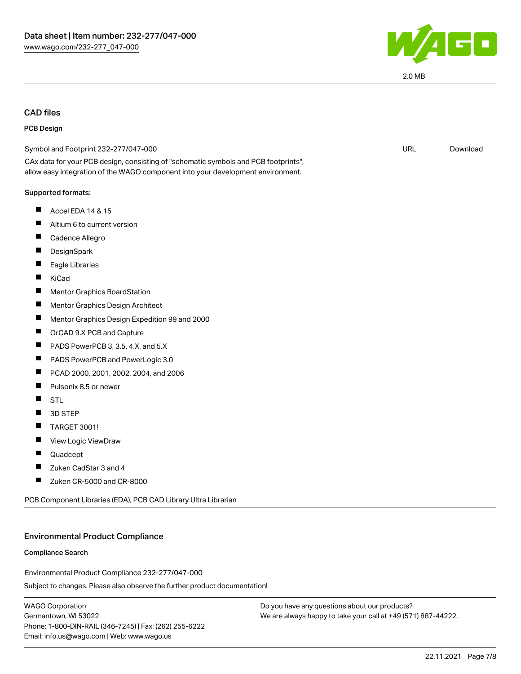

#### CAD files

#### PCB Design

| Symbol and Footprint 232-277/047-000                                                                                                                                   | URL | Download |
|------------------------------------------------------------------------------------------------------------------------------------------------------------------------|-----|----------|
| CAx data for your PCB design, consisting of "schematic symbols and PCB footprints",<br>allow easy integration of the WAGO component into your development environment. |     |          |
| Supported formats:                                                                                                                                                     |     |          |
| Ш<br>Accel EDA 14 & 15                                                                                                                                                 |     |          |
| Altium 6 to current version<br>ш                                                                                                                                       |     |          |
| П<br>Cadence Allegro                                                                                                                                                   |     |          |
| DesignSpark                                                                                                                                                            |     |          |
| Eagle Libraries                                                                                                                                                        |     |          |
| ш<br>KiCad                                                                                                                                                             |     |          |
| <b>Mentor Graphics BoardStation</b>                                                                                                                                    |     |          |
| Ш<br>Mentor Graphics Design Architect                                                                                                                                  |     |          |
| Mentor Graphics Design Expedition 99 and 2000                                                                                                                          |     |          |
| ш<br>OrCAD 9.X PCB and Capture                                                                                                                                         |     |          |
| ш<br>PADS PowerPCB 3, 3.5, 4.X, and 5.X                                                                                                                                |     |          |
| PADS PowerPCB and PowerLogic 3.0<br>Ш                                                                                                                                  |     |          |
| PCAD 2000, 2001, 2002, 2004, and 2006<br>ш                                                                                                                             |     |          |
| П<br>Pulsonix 8.5 or newer                                                                                                                                             |     |          |
| ш<br>STL                                                                                                                                                               |     |          |
| 3D STEP                                                                                                                                                                |     |          |
| TARGET 3001!<br>Ш                                                                                                                                                      |     |          |
| View Logic ViewDraw                                                                                                                                                    |     |          |
| ш<br>Quadcept                                                                                                                                                          |     |          |
| Zuken CadStar 3 and 4                                                                                                                                                  |     |          |
| Zuken CR-5000 and CR-8000<br>$\blacksquare$                                                                                                                            |     |          |
|                                                                                                                                                                        |     |          |

PCB Component Libraries (EDA), PCB CAD Library Ultra Librarian

#### Environmental Product Compliance

#### Compliance Search

Environmental Product Compliance 232-277/047-000

Subject to changes. Please also observe the further product documentation!

WAGO Corporation Germantown, WI 53022 Phone: 1-800-DIN-RAIL (346-7245) | Fax: (262) 255-6222 Email: info.us@wago.com | Web: www.wago.us